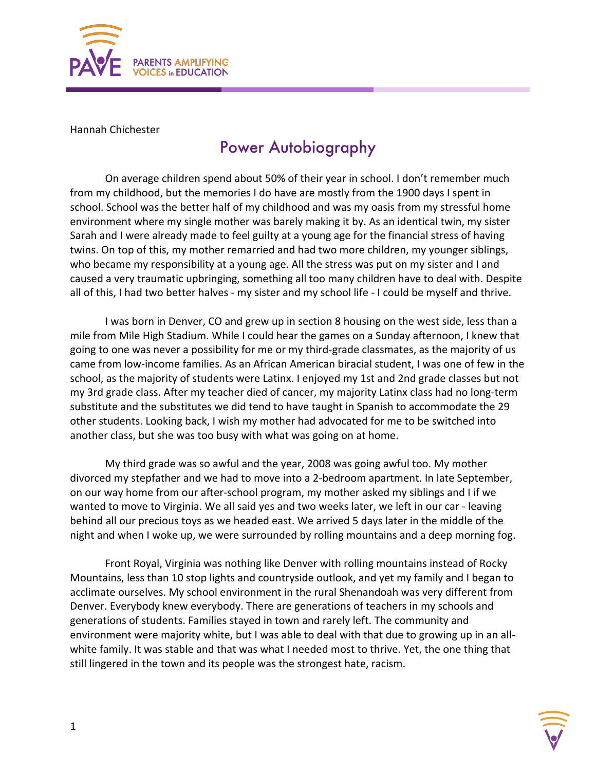

Hannah Chichester

## Power Autobiography

On average children spend about 50% of their year in school. I don't remember much from my childhood, but the memories I do have are mostly from the 1900 days I spent in school. School was the better half of my childhood and was my oasis from my stressful home environment where my single mother was barely making it by. As an identical twin, my sister Sarah and I were already made to feel guilty at a young age for the financial stress of having twins. On top of this, my mother remarried and had two more children, my younger siblings, who became my responsibility at a young age. All the stress was put on my sister and I and caused a very traumatic upbringing, something all too many children have to deal with. Despite all of this, I had two better halves - my sister and my school life - I could be myself and thrive.

I was born in Denver, CO and grew up in section 8 housing on the west side, less than a mile from Mile High Stadium. While I could hear the games on a Sunday afternoon, I knew that going to one was never a possibility for me or my third-grade classmates, as the majority of us came from low-income families. As an African American biracial student, I was one of few in the school, as the majority of students were Latinx. I enjoyed my 1st and 2nd grade classes but not my 3rd grade class. After my teacher died of cancer, my majority Latinx class had no long-term substitute and the substitutes we did tend to have taught in Spanish to accommodate the 29 other students. Looking back, I wish my mother had advocated for me to be switched into another class, but she was too busy with what was going on at home.

My third grade was so awful and the year, 2008 was going awful too. My mother divorced my stepfather and we had to move into a 2-bedroom apartment. In late September, on our way home from our after-school program, my mother asked my siblings and I if we wanted to move to Virginia. We all said yes and two weeks later, we left in our car - leaving behind all our precious toys as we headed east. We arrived 5 days later in the middle of the night and when I woke up, we were surrounded by rolling mountains and a deep morning fog.

Front Royal, Virginia was nothing like Denver with rolling mountains instead of Rocky Mountains, less than 10 stop lights and countryside outlook, and yet my family and I began to acclimate ourselves. My school environment in the rural Shenandoah was very different from Denver. Everybody knew everybody. There are generations of teachers in my schools and generations of students. Families stayed in town and rarely left. The community and environment were majority white, but I was able to deal with that due to growing up in an allwhite family. It was stable and that was what I needed most to thrive. Yet, the one thing that still lingered in the town and its people was the strongest hate, racism.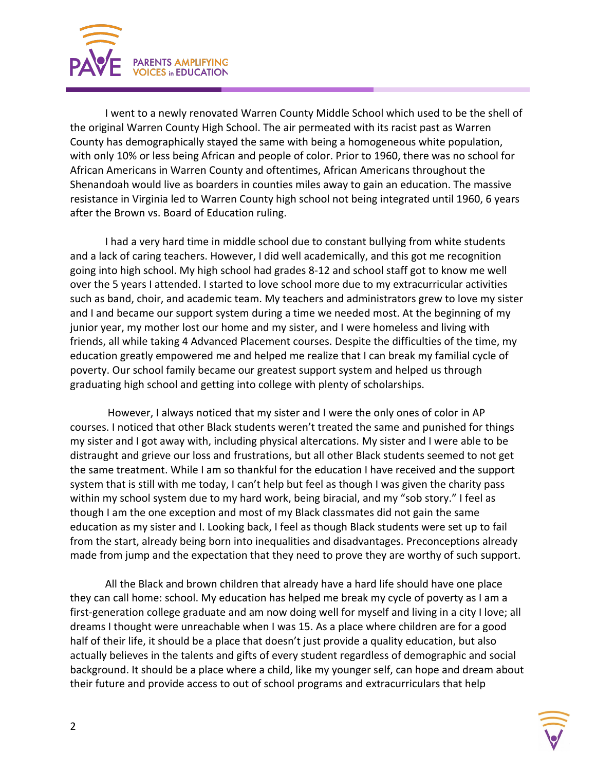

I went to a newly renovated Warren County Middle School which used to be the shell of the original Warren County High School. The air permeated with its racist past as Warren County has demographically stayed the same with being a homogeneous white population, with only 10% or less being African and people of color. Prior to 1960, there was no school for African Americans in Warren County and oftentimes, African Americans throughout the Shenandoah would live as boarders in counties miles away to gain an education. The massive resistance in Virginia led to Warren County high school not being integrated until 1960, 6 years after the Brown vs. Board of Education ruling.

I had a very hard time in middle school due to constant bullying from white students and a lack of caring teachers. However, I did well academically, and this got me recognition going into high school. My high school had grades 8-12 and school staff got to know me well over the 5 years I attended. I started to love school more due to my extracurricular activities such as band, choir, and academic team. My teachers and administrators grew to love my sister and I and became our support system during a time we needed most. At the beginning of my junior year, my mother lost our home and my sister, and I were homeless and living with friends, all while taking 4 Advanced Placement courses. Despite the difficulties of the time, my education greatly empowered me and helped me realize that I can break my familial cycle of poverty. Our school family became our greatest support system and helped us through graduating high school and getting into college with plenty of scholarships.

However, I always noticed that my sister and I were the only ones of color in AP courses. I noticed that other Black students weren't treated the same and punished for things my sister and I got away with, including physical altercations. My sister and I were able to be distraught and grieve our loss and frustrations, but all other Black students seemed to not get the same treatment. While I am so thankful for the education I have received and the support system that is still with me today, I can't help but feel as though I was given the charity pass within my school system due to my hard work, being biracial, and my "sob story." I feel as though I am the one exception and most of my Black classmates did not gain the same education as my sister and I. Looking back, I feel as though Black students were set up to fail from the start, already being born into inequalities and disadvantages. Preconceptions already made from jump and the expectation that they need to prove they are worthy of such support.

All the Black and brown children that already have a hard life should have one place they can call home: school. My education has helped me break my cycle of poverty as I am a first-generation college graduate and am now doing well for myself and living in a city I love; all dreams I thought were unreachable when I was 15. As a place where children are for a good half of their life, it should be a place that doesn't just provide a quality education, but also actually believes in the talents and gifts of every student regardless of demographic and social background. It should be a place where a child, like my younger self, can hope and dream about their future and provide access to out of school programs and extracurriculars that help